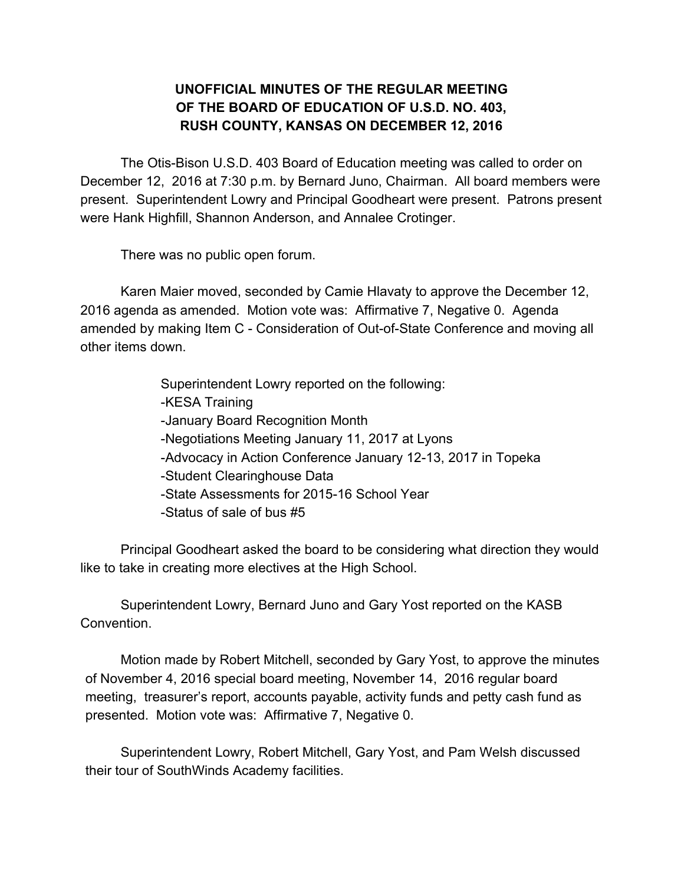## **UNOFFICIAL MINUTES OF THE REGULAR MEETING OF THE BOARD OF EDUCATION OF U.S.D. NO. 403, RUSH COUNTY, KANSAS ON DECEMBER 12, 2016**

The Otis-Bison U.S.D. 403 Board of Education meeting was called to order on December 12, 2016 at 7:30 p.m. by Bernard Juno, Chairman. All board members were present. Superintendent Lowry and Principal Goodheart were present. Patrons present were Hank Highfill, Shannon Anderson, and Annalee Crotinger.

There was no public open forum.

Karen Maier moved, seconded by Camie Hlavaty to approve the December 12, 2016 agenda as amended. Motion vote was: Affirmative 7, Negative 0. Agenda amended by making Item C - Consideration of Out-of-State Conference and moving all other items down.

> Superintendent Lowry reported on the following: -KESA Training -January Board Recognition Month -Negotiations Meeting January 11, 2017 at Lyons -Advocacy in Action Conference January 12-13, 2017 in Topeka -Student Clearinghouse Data -State Assessments for 2015-16 School Year -Status of sale of bus #5

Principal Goodheart asked the board to be considering what direction they would like to take in creating more electives at the High School.

Superintendent Lowry, Bernard Juno and Gary Yost reported on the KASB Convention.

Motion made by Robert Mitchell, seconded by Gary Yost, to approve the minutes of November 4, 2016 special board meeting, November 14, 2016 regular board meeting, treasurer's report, accounts payable, activity funds and petty cash fund as presented. Motion vote was: Affirmative 7, Negative 0.

Superintendent Lowry, Robert Mitchell, Gary Yost, and Pam Welsh discussed their tour of SouthWinds Academy facilities.